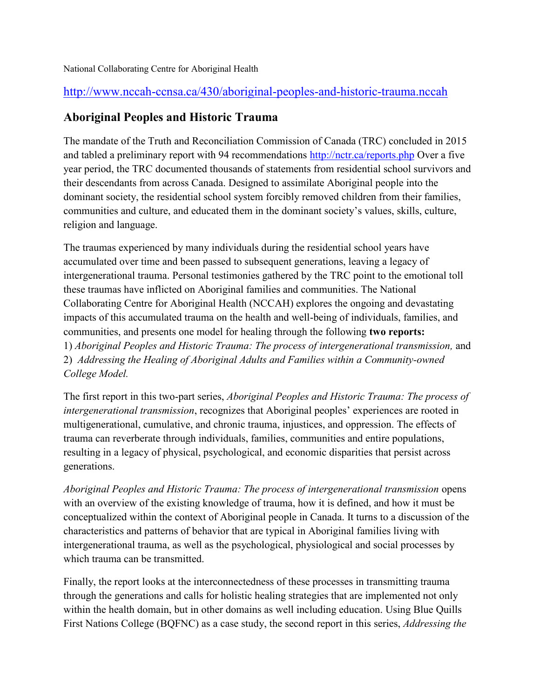## National Collaborating Centre for Aboriginal Health

## <http://www.nccah-ccnsa.ca/430/aboriginal-peoples-and-historic-trauma.nccah>

## **Aboriginal Peoples and Historic Trauma**

The mandate of the Truth and Reconciliation Commission of Canada (TRC) concluded in 2015 and tabled a preliminary report with 94 recommendations<http://nctr.ca/reports.php> Over a five year period, the TRC documented thousands of statements from residential school survivors and their descendants from across Canada. Designed to assimilate Aboriginal people into the dominant society, the residential school system forcibly removed children from their families, communities and culture, and educated them in the dominant society's values, skills, culture, religion and language.

The traumas experienced by many individuals during the residential school years have accumulated over time and been passed to subsequent generations, leaving a legacy of intergenerational trauma. Personal testimonies gathered by the TRC point to the emotional toll these traumas have inflicted on Aboriginal families and communities. The National Collaborating Centre for Aboriginal Health (NCCAH) explores the ongoing and devastating impacts of this accumulated trauma on the health and well-being of individuals, families, and communities, and presents one model for healing through the following **two reports:**  1) *Aboriginal Peoples and Historic Trauma: The process of intergenerational transmission,* and 2) *Addressing the Healing of Aboriginal Adults and Families within a Community-owned College Model.*

The first report in this two-part series, *Aboriginal Peoples and Historic Trauma: The process of intergenerational transmission*, recognizes that Aboriginal peoples' experiences are rooted in multigenerational, cumulative, and chronic trauma, injustices, and oppression. The effects of trauma can reverberate through individuals, families, communities and entire populations, resulting in a legacy of physical, psychological, and economic disparities that persist across generations.

*Aboriginal Peoples and Historic Trauma: The process of intergenerational transmission* opens with an overview of the existing knowledge of trauma, how it is defined, and how it must be conceptualized within the context of Aboriginal people in Canada. It turns to a discussion of the characteristics and patterns of behavior that are typical in Aboriginal families living with intergenerational trauma, as well as the psychological, physiological and social processes by which trauma can be transmitted.

Finally, the report looks at the interconnectedness of these processes in transmitting trauma through the generations and calls for holistic healing strategies that are implemented not only within the health domain, but in other domains as well including education. Using Blue Quills First Nations College (BQFNC) as a case study, the second report in this series, *Addressing the*